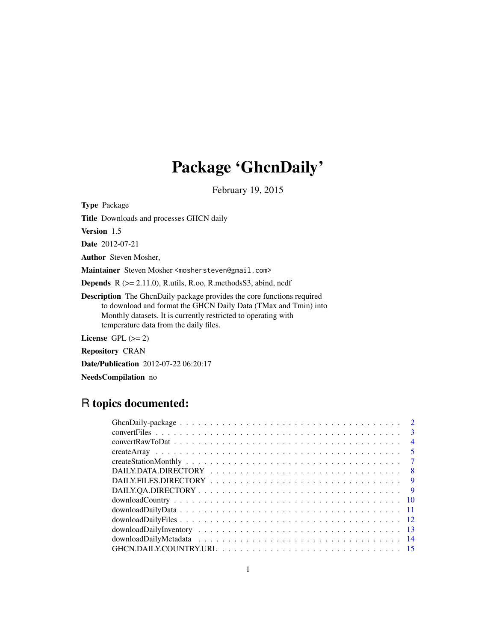# Package 'GhcnDaily'

February 19, 2015

Type Package Title Downloads and processes GHCN daily

Version 1.5

Date 2012-07-21

Author Steven Mosher,

Maintainer Steven Mosher <moshersteven@gmail.com>

Depends R (>= 2.11.0), R.utils, R.oo, R.methodsS3, abind, ncdf

Description The GhcnDaily package provides the core functions required to download and format the GHCN Daily Data (TMax and Tmin) into Monthly datasets. It is currently restricted to operating with temperature data from the daily files.

License GPL  $(>= 2)$ 

Repository CRAN

Date/Publication 2012-07-22 06:20:17

NeedsCompilation no

# R topics documented:

| $\overline{2}$             |                |
|----------------------------|----------------|
| $\overline{\mathbf{3}}$    |                |
|                            | $\overline{4}$ |
| $\overline{\phantom{0}}$ 5 |                |
| $\overline{7}$             |                |
| - 8                        |                |
| $\overline{9}$             |                |
| DAILY.QA.DIRECTORY         | 9              |
|                            |                |
|                            |                |
|                            |                |
|                            |                |
|                            |                |
|                            |                |
|                            |                |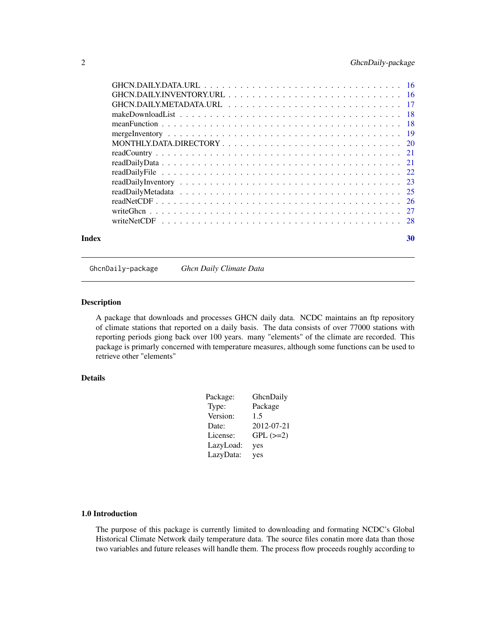<span id="page-1-0"></span>

| Index |  | 30 |
|-------|--|----|

# GhcnDaily-package *Ghcn Daily Climate Data*

#### Description

A package that downloads and processes GHCN daily data. NCDC maintains an ftp repository of climate stations that reported on a daily basis. The data consists of over 77000 stations with reporting periods giong back over 100 years. many "elements" of the climate are recorded. This package is primarly concerned with temperature measures, although some functions can be used to retrieve other "elements"

# Details

| Package:  | GhenDaily     |
|-----------|---------------|
| Type:     | Package       |
| Version:  | 1.5           |
| Date:     | 2012-07-21    |
| License:  | $GPL$ $(>=2)$ |
| LazyLoad: | yes           |
| LazyData: | yes           |
|           |               |

# 1.0 Introduction

The purpose of this package is currently limited to downloading and formating NCDC's Global Historical Climate Network daily temperature data. The source files conatin more data than those two variables and future releases will handle them. The process flow proceeds roughly according to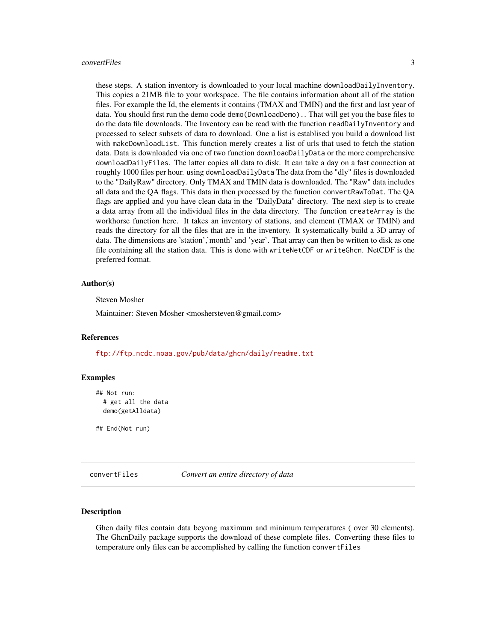#### <span id="page-2-0"></span>convertFiles 3

these steps. A station inventory is downloaded to your local machine downloadDailyInventory. This copies a 21MB file to your workspace. The file contains information about all of the station files. For example the Id, the elements it contains (TMAX and TMIN) and the first and last year of data. You should first run the demo code demo(DownloadDemo).. That will get you the base files to do the data file downloads. The Inventory can be read with the function readDailyInventory and processed to select subsets of data to download. One a list is establised you build a download list with makeDownloadList. This function merely creates a list of urls that used to fetch the station data. Data is downloaded via one of two function downloadDailyData or the more comprehensive downloadDailyFiles. The latter copies all data to disk. It can take a day on a fast connection at roughly 1000 files per hour. using downloadDailyData The data from the "dly" files is downloaded to the "DailyRaw" directory. Only TMAX and TMIN data is downloaded. The "Raw" data includes all data and the QA flags. This data in then processed by the function convertRawToDat. The QA flags are applied and you have clean data in the "DailyData" directory. The next step is to create a data array from all the individual files in the data directory. The function createArray is the workhorse function here. It takes an inventory of stations, and element (TMAX or TMIN) and reads the directory for all the files that are in the inventory. It systematically build a 3D array of data. The dimensions are 'station','month' and 'year'. That array can then be written to disk as one file containing all the station data. This is done with writeNetCDF or writeGhcn. NetCDF is the preferred format.

#### Author(s)

Steven Mosher

Maintainer: Steven Mosher <moshersteven@gmail.com>

#### References

<ftp://ftp.ncdc.noaa.gov/pub/data/ghcn/daily/readme.txt>

#### Examples

```
## Not run:
 # get all the data
 demo(getAlldata)
```
## End(Not run)

convertFiles *Convert an entire directory of data*

#### Description

Ghcn daily files contain data beyong maximum and minimum temperatures ( over 30 elements). The GhcnDaily package supports the download of these complete files. Converting these files to temperature only files can be accomplished by calling the function convertFiles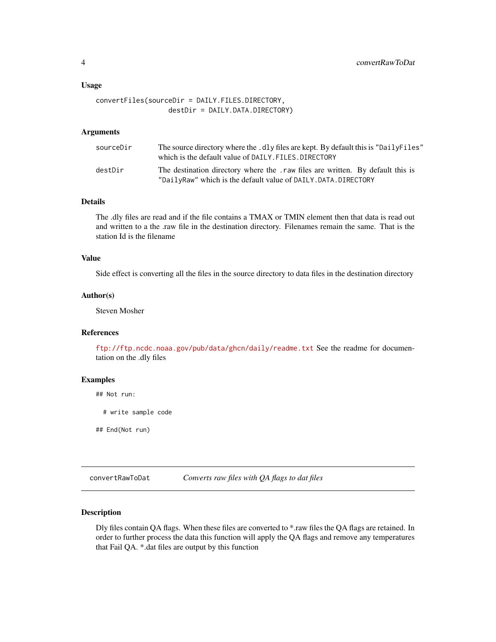#### <span id="page-3-0"></span>Usage

convertFiles(sourceDir = DAILY.FILES.DIRECTORY, destDir = DAILY.DATA.DIRECTORY)

#### Arguments

| sourceDir | The source directory where the .dly files are kept. By default this is "DailyFiles"<br>which is the default value of DAILY. FILES. DIRECTORY       |
|-----------|----------------------------------------------------------------------------------------------------------------------------------------------------|
| destDir   | The destination directory where the . raw files are written. By default this is<br>"DailyRaw" which is the default value of DAILY. DATA. DIRECTORY |

# Details

The .dly files are read and if the file contains a TMAX or TMIN element then that data is read out and written to a the .raw file in the destination directory. Filenames remain the same. That is the station Id is the filename

#### Value

Side effect is converting all the files in the source directory to data files in the destination directory

#### Author(s)

Steven Mosher

# References

<ftp://ftp.ncdc.noaa.gov/pub/data/ghcn/daily/readme.txt> See the readme for documentation on the .dly files

# Examples

## Not run:

# write sample code

## End(Not run)

convertRawToDat *Converts raw files with QA flags to dat files*

# Description

Dly files contain QA flags. When these files are converted to \*.raw files the QA flags are retained. In order to further process the data this function will apply the QA flags and remove any temperatures that Fail QA. \*.dat files are output by this function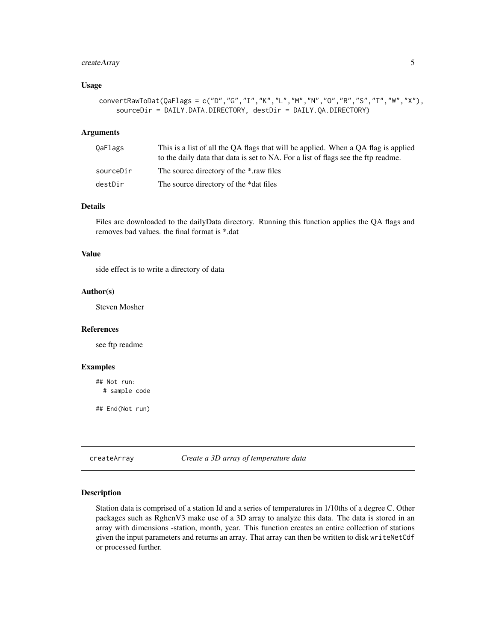# <span id="page-4-0"></span>createArray 5

#### Usage

```
convertRawToDat(QaFlags = c("D","G","I","K","L","M","N","O","R","S","T","W","X"),
    sourceDir = DAILY.DATA.DIRECTORY, destDir = DAILY.QA.DIRECTORY)
```
#### **Arguments**

| OaFlags   | This is a list of all the QA flags that will be applied. When a QA flag is applied<br>to the daily data that data is set to NA. For a list of flags see the ftp readme. |
|-----------|-------------------------------------------------------------------------------------------------------------------------------------------------------------------------|
| sourceDir | The source directory of the *.raw files                                                                                                                                 |
| destDir   | The source directory of the *dat files                                                                                                                                  |

# Details

Files are downloaded to the dailyData directory. Running this function applies the QA flags and removes bad values. the final format is \*.dat

# Value

side effect is to write a directory of data

#### Author(s)

Steven Mosher

#### References

see ftp readme

#### Examples

## Not run: # sample code

## End(Not run)

createArray *Create a 3D array of temperature data*

#### Description

Station data is comprised of a station Id and a series of temperatures in 1/10ths of a degree C. Other packages such as RghcnV3 make use of a 3D array to analyze this data. The data is stored in an array with dimensions -station, month, year. This function creates an entire collection of stations given the input parameters and returns an array. That array can then be written to disk writeNetCdf or processed further.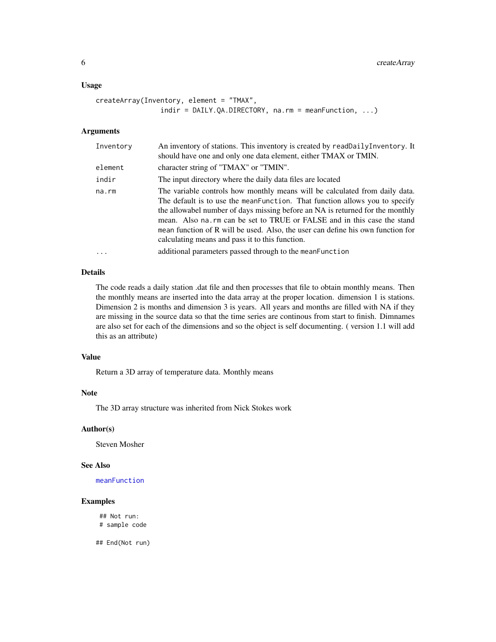#### <span id="page-5-0"></span>Usage

```
createArray(Inventory, element = "TMAX",
                indir = DAILY.QA.DIRECTORY, na.rm = meanFunction, ...)
```
# Arguments

| Inventory  | An inventory of stations. This inventory is created by readDailyInventory. It<br>should have one and only one data element, either TMAX or TMIN.                                                                                                                                                                                                                                                                                                              |
|------------|---------------------------------------------------------------------------------------------------------------------------------------------------------------------------------------------------------------------------------------------------------------------------------------------------------------------------------------------------------------------------------------------------------------------------------------------------------------|
| element    | character string of "TMAX" or "TMIN".                                                                                                                                                                                                                                                                                                                                                                                                                         |
| indir      | The input directory where the daily data files are located                                                                                                                                                                                                                                                                                                                                                                                                    |
| na.rm      | The variable controls how monthly means will be calculated from daily data.<br>The default is to use the mean Function. That function allows you to specify<br>the allowabel number of days missing before an NA is returned for the monthly<br>mean. Also na.rm can be set to TRUE or FALSE and in this case the stand<br>mean function of R will be used. Also, the user can define his own function for<br>calculating means and pass it to this function. |
| $\ddots$ . | additional parameters passed through to the mean Function                                                                                                                                                                                                                                                                                                                                                                                                     |

# Details

The code reads a daily station .dat file and then processes that file to obtain monthly means. Then the monthly means are inserted into the data array at the proper location. dimension 1 is stations. Dimension 2 is months and dimension 3 is years. All years and months are filled with NA if they are missing in the source data so that the time series are continous from start to finish. Dimnames are also set for each of the dimensions and so the object is self documenting. ( version 1.1 will add this as an attribute)

# Value

Return a 3D array of temperature data. Monthly means

# Note

The 3D array structure was inherited from Nick Stokes work

#### Author(s)

Steven Mosher

# See Also

[meanFunction](#page-17-1)

# Examples

## Not run: # sample code

## End(Not run)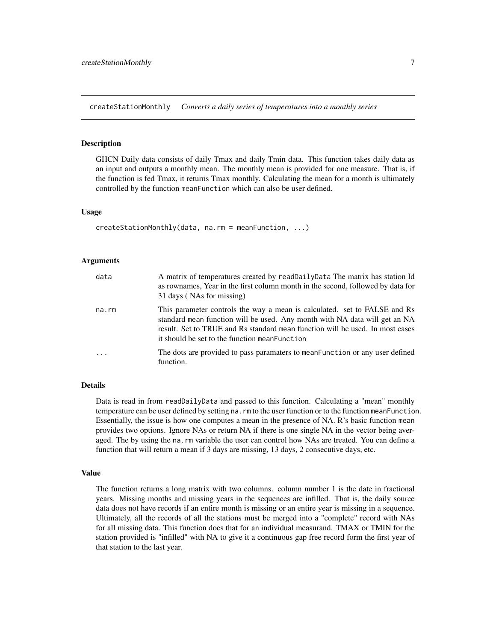<span id="page-6-1"></span><span id="page-6-0"></span>createStationMonthly *Converts a daily series of temperatures into a monthly series*

#### Description

GHCN Daily data consists of daily Tmax and daily Tmin data. This function takes daily data as an input and outputs a monthly mean. The monthly mean is provided for one measure. That is, if the function is fed Tmax, it returns Tmax monthly. Calculating the mean for a month is ultimately controlled by the function meanFunction which can also be user defined.

#### Usage

```
createStationMonthly(data, na.rm = meanFunction, ...)
```
#### Arguments

| data        | A matrix of temperatures created by readDailyData The matrix has station Id<br>as rownames, Year in the first column month in the second, followed by data for<br>31 days (NAs for missing)                                                                                               |
|-------------|-------------------------------------------------------------------------------------------------------------------------------------------------------------------------------------------------------------------------------------------------------------------------------------------|
| $na$ . $rm$ | This parameter controls the way a mean is calculated. set to FALSE and Rs<br>standard mean function will be used. Any month with NA data will get an NA<br>result. Set to TRUE and Rs standard mean function will be used. In most cases<br>it should be set to the function meanFunction |
|             | The dots are provided to pass paramaters to mean Function or any user defined<br>function.                                                                                                                                                                                                |

#### Details

Data is read in from readDailyData and passed to this function. Calculating a "mean" monthly temperature can be user defined by setting na. rm to the user function or to the function meanFunction. Essentially, the issue is how one computes a mean in the presence of NA. R's basic function mean provides two options. Ignore NAs or return NA if there is one single NA in the vector being averaged. The by using the na.rm variable the user can control how NAs are treated. You can define a function that will return a mean if 3 days are missing, 13 days, 2 consecutive days, etc.

#### Value

The function returns a long matrix with two columns. column number 1 is the date in fractional years. Missing months and missing years in the sequences are infilled. That is, the daily source data does not have records if an entire month is missing or an entire year is missing in a sequence. Ultimately, all the records of all the stations must be merged into a "complete" record with NAs for all missing data. This function does that for an individual measurand. TMAX or TMIN for the station provided is "infilled" with NA to give it a continuous gap free record form the first year of that station to the last year.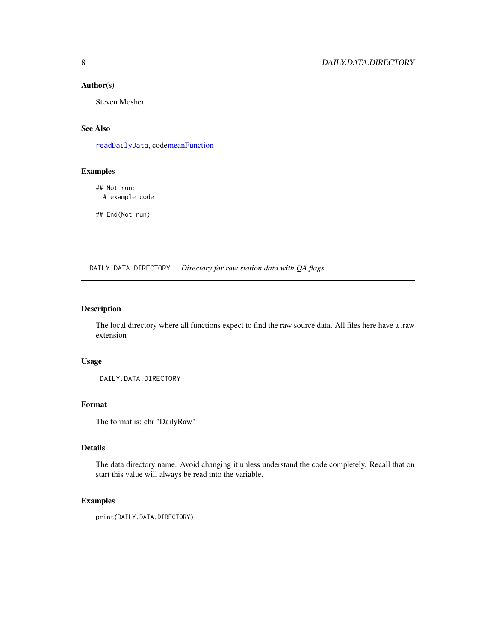## <span id="page-7-0"></span>Author(s)

Steven Mosher

# See Also

[readDailyData](#page-20-1), cod[emeanFunction](#page-17-1)

# Examples

## Not run: # example code

## End(Not run)

DAILY.DATA.DIRECTORY *Directory for raw station data with QA flags*

# Description

The local directory where all functions expect to find the raw source data. All files here have a .raw extension

# Usage

DAILY.DATA.DIRECTORY

#### Format

The format is: chr "DailyRaw"

# **Details**

The data directory name. Avoid changing it unless understand the code completely. Recall that on start this value will always be read into the variable.

# Examples

print(DAILY.DATA.DIRECTORY)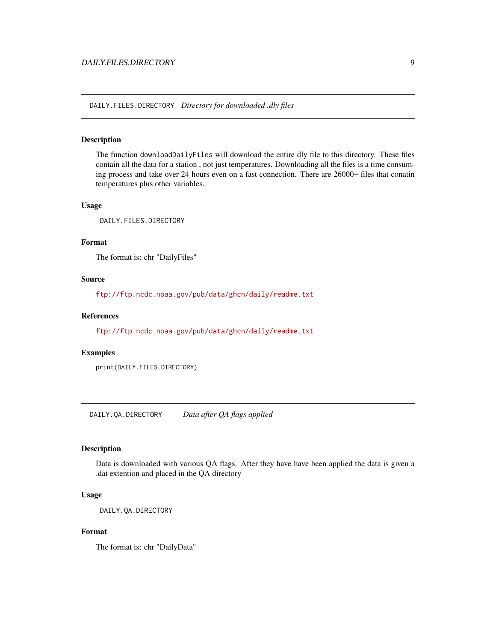# <span id="page-8-0"></span>Description

The function downloadDailyFiles will download the entire dly file to this directory. These files contain all the data for a station , not just temperatures. Downloading all the files is a time consuming process and take over 24 hours even on a fast connection. There are 26000+ files that conatin temperatures plus other variables.

#### Usage

DAILY.FILES.DIRECTORY

# Format

The format is: chr "DailyFiles"

#### Source

<ftp://ftp.ncdc.noaa.gov/pub/data/ghcn/daily/readme.txt>

#### References

<ftp://ftp.ncdc.noaa.gov/pub/data/ghcn/daily/readme.txt>

#### Examples

print(DAILY.FILES.DIRECTORY)

DAILY.QA.DIRECTORY *Data after QA flags applied*

# Description

Data is downloaded with various QA flags. After they have have been applied the data is given a .dat extention and placed in the QA directory

# Usage

DAILY.QA.DIRECTORY

# Format

The format is: chr "DailyData"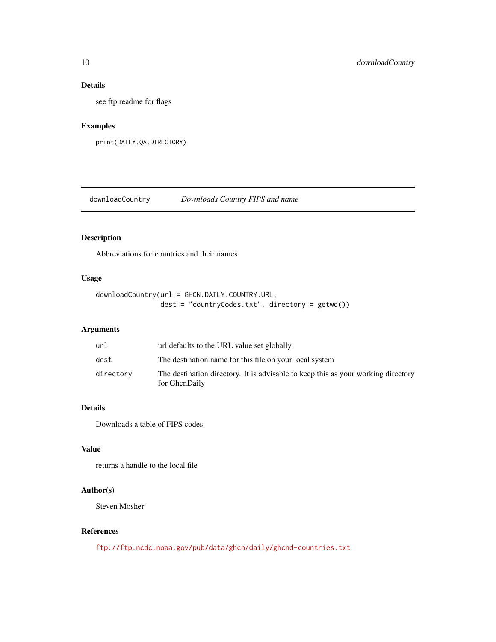# Details

see ftp readme for flags

# Examples

print(DAILY.QA.DIRECTORY)

downloadCountry *Downloads Country FIPS and name*

# Description

Abbreviations for countries and their names

# Usage

```
downloadCountry(url = GHCN.DAILY.COUNTRY.URL,
                dest = "countryCodes.txt", directory = getwd())
```
# Arguments

| url       | url defaults to the URL value set globally.                                                        |
|-----------|----------------------------------------------------------------------------------------------------|
| dest      | The destination name for this file on your local system                                            |
| directory | The destination directory. It is advisable to keep this as your working directory<br>for GhenDaily |

# Details

Downloads a table of FIPS codes

# Value

returns a handle to the local file

# Author(s)

Steven Mosher

# References

<ftp://ftp.ncdc.noaa.gov/pub/data/ghcn/daily/ghcnd-countries.txt>

<span id="page-9-0"></span>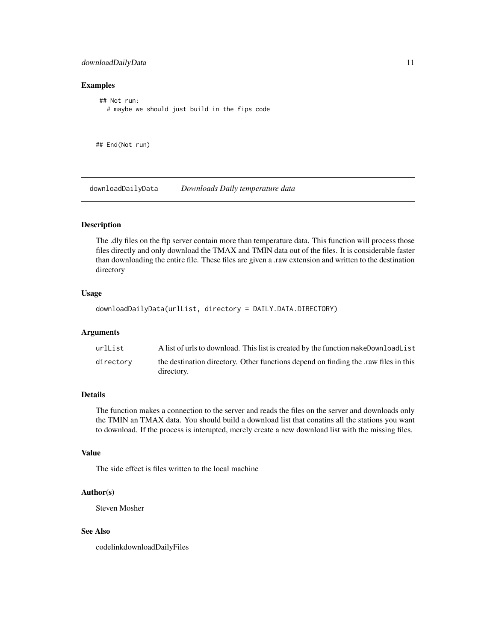# <span id="page-10-0"></span>downloadDailyData 11

#### Examples

## Not run: # maybe we should just build in the fips code

## End(Not run)

<span id="page-10-1"></span>downloadDailyData *Downloads Daily temperature data*

#### Description

The .dly files on the ftp server contain more than temperature data. This function will process those files directly and only download the TMAX and TMIN data out of the files. It is considerable faster than downloading the entire file. These files are given a .raw extension and written to the destination directory

# Usage

downloadDailyData(urlList, directory = DAILY.DATA.DIRECTORY)

#### Arguments

| urlList   | A list of urls to download. This list is created by the function makeDownloadList                |
|-----------|--------------------------------------------------------------------------------------------------|
| directory | the destination directory. Other functions depend on finding the raw files in this<br>directory. |

# **Details**

The function makes a connection to the server and reads the files on the server and downloads only the TMIN an TMAX data. You should build a download list that conatins all the stations you want to download. If the process is interupted, merely create a new download list with the missing files.

#### Value

The side effect is files written to the local machine

#### Author(s)

Steven Mosher

# See Also

codelinkdownloadDailyFiles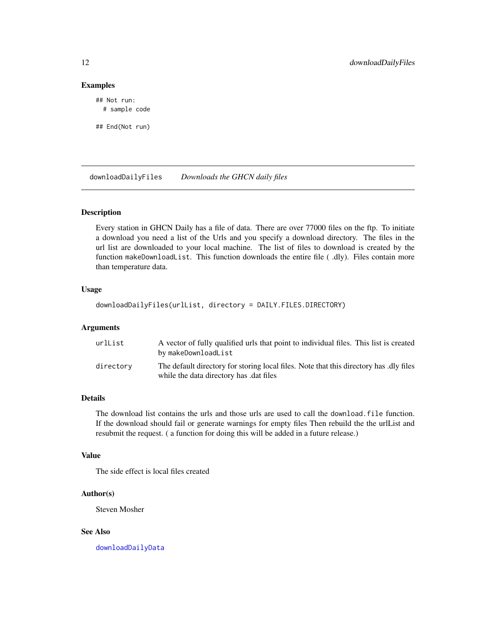#### Examples

## Not run: # sample code ## End(Not run)

downloadDailyFiles *Downloads the GHCN daily files*

#### Description

Every station in GHCN Daily has a file of data. There are over 77000 files on the ftp. To initiate a download you need a list of the Urls and you specify a download directory. The files in the url list are downloaded to your local machine. The list of files to download is created by the function makeDownloadList. This function downloads the entire file ( .dly). Files contain more than temperature data.

# Usage

```
downloadDailyFiles(urlList, directory = DAILY.FILES.DIRECTORY)
```
#### Arguments

| urlList   | A vector of fully qualified urls that point to individual files. This list is created<br>by makeDownloadList                     |
|-----------|----------------------------------------------------------------------------------------------------------------------------------|
| directorv | The default directory for storing local files. Note that this directory has .dly files<br>while the data directory has dat files |

# Details

The download list contains the urls and those urls are used to call the download.file function. If the download should fail or generate warnings for empty files Then rebuild the the urlList and resubmit the request. ( a function for doing this will be added in a future release.)

#### Value

The side effect is local files created

# Author(s)

Steven Mosher

# See Also

[downloadDailyData](#page-10-1)

<span id="page-11-0"></span>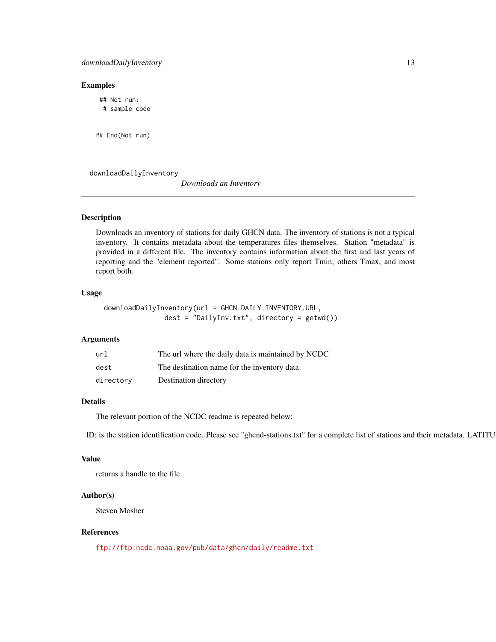<span id="page-12-0"></span>downloadDailyInventory 13

#### Examples

## Not run: # sample code

## End(Not run)

downloadDailyInventory

*Downloads an Inventory*

#### Description

Downloads an inventory of stations for daily GHCN data. The inventory of stations is not a typical inventory. It contains metadata about the temperatures files themselves. Station "metadata" is provided in a different file. The inventory contains information about the first and last years of reporting and the "element reported". Some stations only report Tmin, others Tmax, and most report both.

# Usage

```
downloadDailyInventory(url = GHCN.DAILY.INVENTORY.URL,
              dest = "DailyInv.txt", directory = getwd())
```
# Arguments

| url       | The url where the daily data is maintained by NCDC |
|-----------|----------------------------------------------------|
| dest      | The destination name for the inventory data        |
| directory | Destination directory                              |

# Details

The relevant portion of the NCDC readme is repeated below:

ID: is the station identification code. Please see "ghcnd-stations.txt" for a complete list of stations and their metadata. LATITU

# Value

returns a handle to the file

# Author(s)

Steven Mosher

#### References

<ftp://ftp.ncdc.noaa.gov/pub/data/ghcn/daily/readme.txt>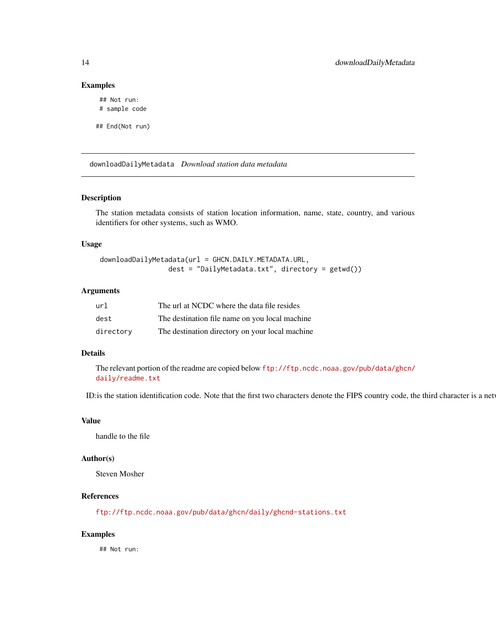# Examples

## Not run: # sample code

## End(Not run)

downloadDailyMetadata *Download station data metadata*

# Description

The station metadata consists of station location information, name, state, country, and various identifiers for other systems, such as WMO.

#### Usage

```
downloadDailyMetadata(url = GHCN.DAILY.METADATA.URL,
                 dest = "DailyMetadata.txt", directory = getwd())
```
#### **Arguments**

| url       | The url at NCDC where the data file resides     |
|-----------|-------------------------------------------------|
| dest      | The destination file name on you local machine  |
| directory | The destination directory on your local machine |

# Details

The relevant portion of the readme are copied below [ftp://ftp.ncdc.noaa.gov/pub/data/ghcn/](ftp://ftp.ncdc.noaa.gov/pub/data/ghcn/daily/readme.txt) [daily/readme.txt](ftp://ftp.ncdc.noaa.gov/pub/data/ghcn/daily/readme.txt)

ID: is the station identification code. Note that the first two characters denote the FIPS country code, the third character is a net

#### Value

handle to the file

# Author(s)

Steven Mosher

# References

<ftp://ftp.ncdc.noaa.gov/pub/data/ghcn/daily/ghcnd-stations.txt>

# Examples

## Not run:

<span id="page-13-0"></span>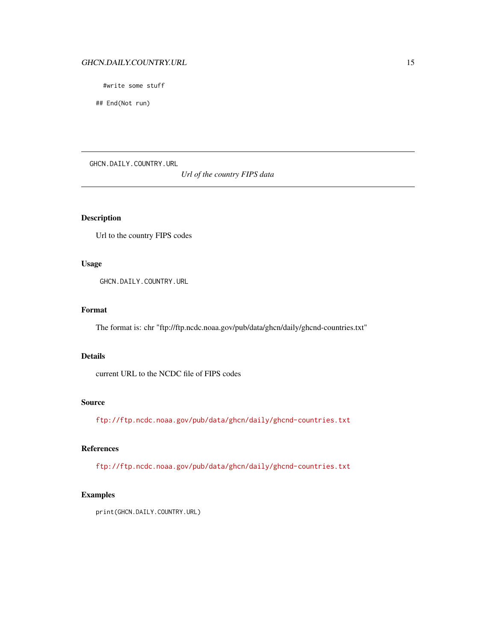# <span id="page-14-0"></span>GHCN.DAILY.COUNTRY.URL 15

#write some stuff

## End(Not run)

GHCN.DAILY.COUNTRY.URL

*Url of the country FIPS data*

# Description

Url to the country FIPS codes

# Usage

GHCN.DAILY.COUNTRY.URL

# Format

The format is: chr "ftp://ftp.ncdc.noaa.gov/pub/data/ghcn/daily/ghcnd-countries.txt"

# Details

current URL to the NCDC file of FIPS codes

# Source

<ftp://ftp.ncdc.noaa.gov/pub/data/ghcn/daily/ghcnd-countries.txt>

# References

<ftp://ftp.ncdc.noaa.gov/pub/data/ghcn/daily/ghcnd-countries.txt>

# Examples

print(GHCN.DAILY.COUNTRY.URL)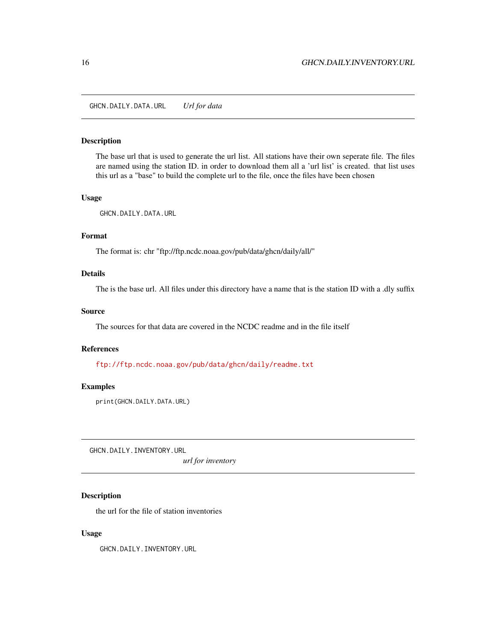<span id="page-15-0"></span>GHCN.DAILY.DATA.URL *Url for data*

#### Description

The base url that is used to generate the url list. All stations have their own seperate file. The files are named using the station ID. in order to download them all a 'url list' is created. that list uses this url as a "base" to build the complete url to the file, once the files have been chosen

# Usage

```
GHCN.DAILY.DATA.URL
```
# Format

The format is: chr "ftp://ftp.ncdc.noaa.gov/pub/data/ghcn/daily/all/"

# Details

The is the base url. All files under this directory have a name that is the station ID with a .dly suffix

# Source

The sources for that data are covered in the NCDC readme and in the file itself

#### References

<ftp://ftp.ncdc.noaa.gov/pub/data/ghcn/daily/readme.txt>

#### Examples

print(GHCN.DAILY.DATA.URL)

GHCN.DAILY.INVENTORY.URL

*url for inventory*

# Description

the url for the file of station inventories

# Usage

GHCN.DAILY.INVENTORY.URL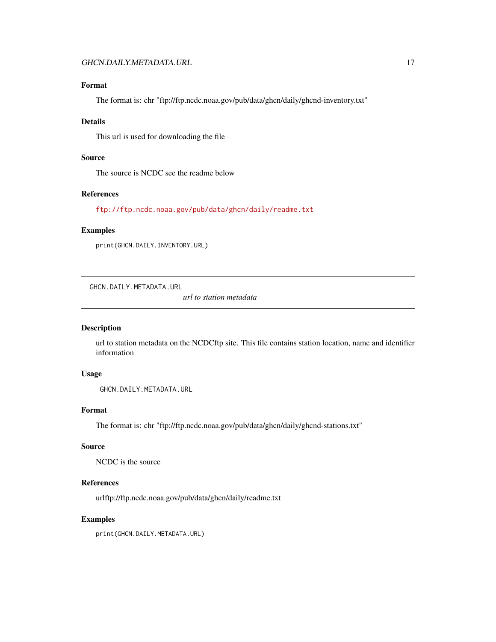# <span id="page-16-0"></span>GHCN.DAILY.METADATA.URL 17

# Format

The format is: chr "ftp://ftp.ncdc.noaa.gov/pub/data/ghcn/daily/ghcnd-inventory.txt"

# Details

This url is used for downloading the file

#### Source

The source is NCDC see the readme below

#### References

<ftp://ftp.ncdc.noaa.gov/pub/data/ghcn/daily/readme.txt>

# Examples

print(GHCN.DAILY.INVENTORY.URL)

GHCN.DAILY.METADATA.URL

*url to station metadata*

# Description

url to station metadata on the NCDCftp site. This file contains station location, name and identifier information

# Usage

GHCN.DAILY.METADATA.URL

# Format

The format is: chr "ftp://ftp.ncdc.noaa.gov/pub/data/ghcn/daily/ghcnd-stations.txt"

#### Source

NCDC is the source

# References

urlftp://ftp.ncdc.noaa.gov/pub/data/ghcn/daily/readme.txt

# Examples

print(GHCN.DAILY.METADATA.URL)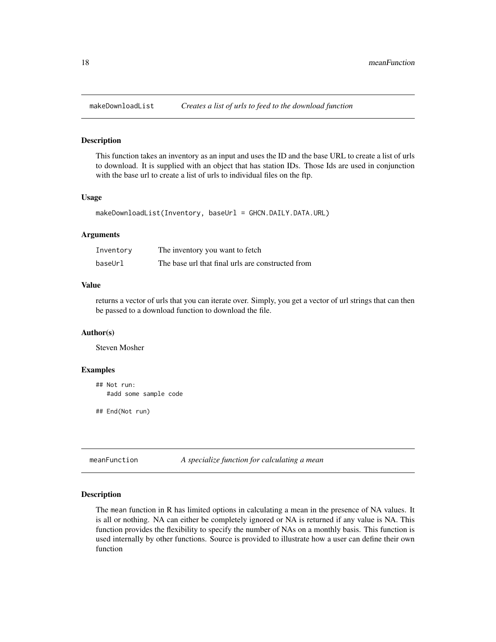<span id="page-17-0"></span>

#### Description

This function takes an inventory as an input and uses the ID and the base URL to create a list of urls to download. It is supplied with an object that has station IDs. Those Ids are used in conjunction with the base url to create a list of urls to individual files on the ftp.

#### Usage

```
makeDownloadList(Inventory, baseUrl = GHCN.DAILY.DATA.URL)
```
#### Arguments

| Inventory | The inventory you want to fetch                   |
|-----------|---------------------------------------------------|
| baseUrl   | The base url that final urls are constructed from |

# Value

returns a vector of urls that you can iterate over. Simply, you get a vector of url strings that can then be passed to a download function to download the file.

#### Author(s)

Steven Mosher

#### Examples

```
## Not run:
  #add some sample code
```
## End(Not run)

```
meanFunction A specialize function for calculating a mean
```
# Description

The mean function in R has limited options in calculating a mean in the presence of NA values. It is all or nothing. NA can either be completely ignored or NA is returned if any value is NA. This function provides the flexibility to specify the number of NAs on a monthly basis. This function is used internally by other functions. Source is provided to illustrate how a user can define their own function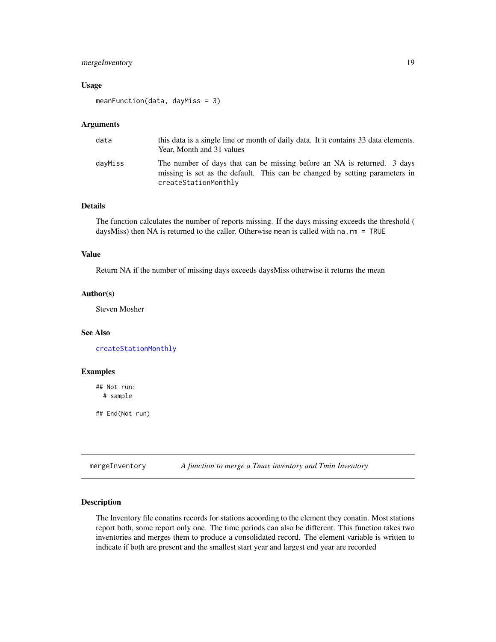# <span id="page-18-0"></span>mergeInventory 19

#### Usage

meanFunction(data, dayMiss = 3)

#### Arguments

| data    | this data is a single line or month of daily data. It it contains 33 data elements.<br>Year, Month and 31 values                                                               |
|---------|--------------------------------------------------------------------------------------------------------------------------------------------------------------------------------|
| dayMiss | The number of days that can be missing before an NA is returned. 3 days<br>missing is set as the default. This can be changed by setting parameters in<br>createStationMonthly |

# Details

The function calculates the number of reports missing. If the days missing exceeds the threshold ( daysMiss) then NA is returned to the caller. Otherwise mean is called with na.rm = TRUE

#### Value

Return NA if the number of missing days exceeds daysMiss otherwise it returns the mean

# Author(s)

Steven Mosher

# See Also

[createStationMonthly](#page-6-1)

#### Examples

## Not run: # sample

## End(Not run)

mergeInventory *A function to merge a Tmax inventory and Tmin Inventory*

#### Description

The Inventory file conatins records for stations acoording to the element they conatin. Most stations report both, some report only one. The time periods can also be different. This function takes two inventories and merges them to produce a consolidated record. The element variable is written to indicate if both are present and the smallest start year and largest end year are recorded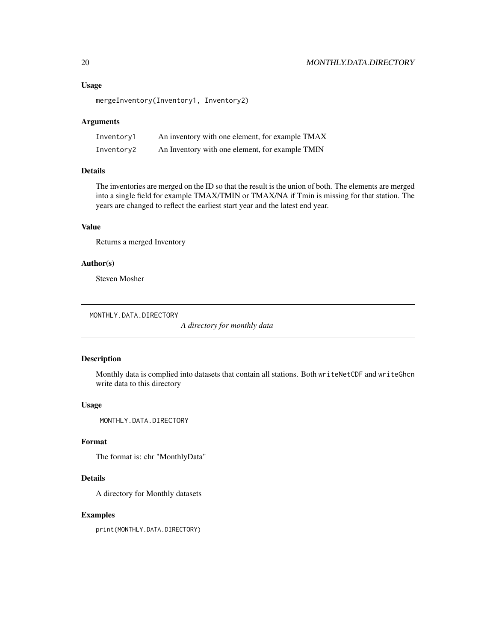#### Usage

```
mergeInventory(Inventory1, Inventory2)
```
#### Arguments

| Inventory1 | An inventory with one element, for example TMAX |
|------------|-------------------------------------------------|
| Inventory2 | An Inventory with one element, for example TMIN |

#### Details

The inventories are merged on the ID so that the result is the union of both. The elements are merged into a single field for example TMAX/TMIN or TMAX/NA if Tmin is missing for that station. The years are changed to reflect the earliest start year and the latest end year.

# Value

Returns a merged Inventory

# Author(s)

Steven Mosher

MONTHLY.DATA.DIRECTORY

*A directory for monthly data*

#### Description

Monthly data is complied into datasets that contain all stations. Both writeNetCDF and writeGhcn write data to this directory

# Usage

MONTHLY.DATA.DIRECTORY

# Format

The format is: chr "MonthlyData"

# Details

A directory for Monthly datasets

#### Examples

print(MONTHLY.DATA.DIRECTORY)

<span id="page-19-0"></span>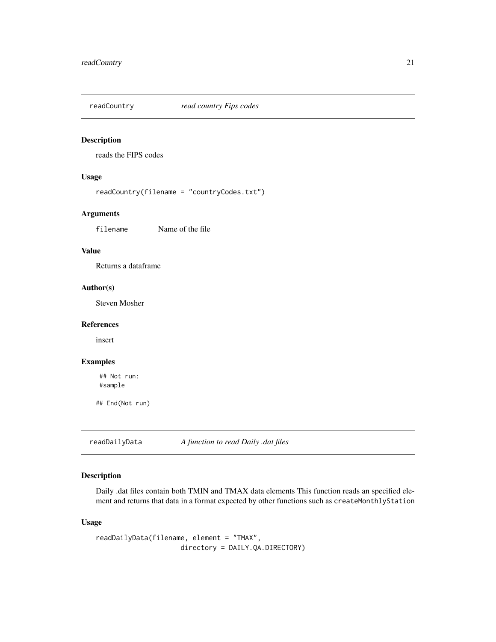<span id="page-20-0"></span>

# Description

reads the FIPS codes

# Usage

readCountry(filename = "countryCodes.txt")

# Arguments

filename Name of the file

# Value

Returns a dataframe

### Author(s)

Steven Mosher

#### References

insert

# Examples

## Not run: #sample

## End(Not run)

<span id="page-20-1"></span>readDailyData *A function to read Daily .dat files*

# Description

Daily .dat files contain both TMIN and TMAX data elements This function reads an specified element and returns that data in a format expected by other functions such as createMonthlyStation

# Usage

```
readDailyData(filename, element = "TMAX",
                    directory = DAILY.QA.DIRECTORY)
```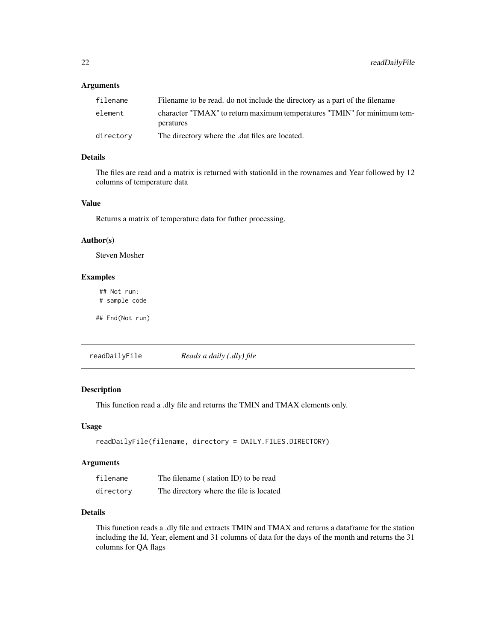# <span id="page-21-0"></span>Arguments

| filename  | Filename to be read, do not include the directory as a part of the filename          |
|-----------|--------------------------------------------------------------------------------------|
| element   | character "TMAX" to return maximum temperatures "TMIN" for minimum tem-<br>peratures |
| directory | The directory where the .dat files are located.                                      |

# Details

The files are read and a matrix is returned with stationId in the rownames and Year followed by 12 columns of temperature data

#### Value

Returns a matrix of temperature data for futher processing.

#### Author(s)

Steven Mosher

# Examples

## Not run: # sample code

## End(Not run)

readDailyFile *Reads a daily (.dly) file*

#### Description

This function read a .dly file and returns the TMIN and TMAX elements only.

#### Usage

```
readDailyFile(filename, directory = DAILY.FILES.DIRECTORY)
```
# Arguments

| filename  | The filename (station ID) to be read    |
|-----------|-----------------------------------------|
| directory | The directory where the file is located |

# Details

This function reads a .dly file and extracts TMIN and TMAX and returns a dataframe for the station including the Id, Year, element and 31 columns of data for the days of the month and returns the 31 columns for QA flags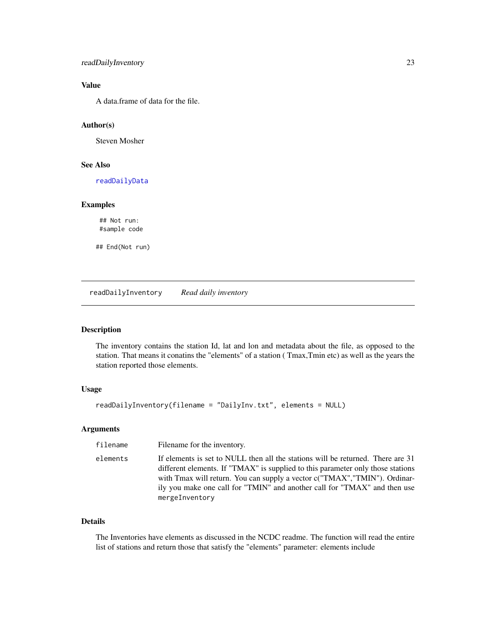# <span id="page-22-0"></span>readDailyInventory 23

# Value

A data.frame of data for the file.

# Author(s)

Steven Mosher

# See Also

[readDailyData](#page-20-1)

# Examples

## Not run: #sample code

## End(Not run)

readDailyInventory *Read daily inventory*

# Description

The inventory contains the station Id, lat and lon and metadata about the file, as opposed to the station. That means it conatins the "elements" of a station ( Tmax,Tmin etc) as well as the years the station reported those elements.

#### Usage

```
readDailyInventory(filename = "DailyInv.txt", elements = NULL)
```
#### Arguments

| filename | Filename for the inventory.                                                                                                                                                                                                                                                                                                                    |
|----------|------------------------------------------------------------------------------------------------------------------------------------------------------------------------------------------------------------------------------------------------------------------------------------------------------------------------------------------------|
| elements | If elements is set to NULL then all the stations will be returned. There are 31<br>different elements. If "TMAX" is supplied to this parameter only those stations<br>with Tmax will return. You can supply a vector c("TMAX","TMIN"). Ordinar-<br>ily you make one call for "TMIN" and another call for "TMAX" and then use<br>mergeInventory |

# Details

The Inventories have elements as discussed in the NCDC readme. The function will read the entire list of stations and return those that satisfy the "elements" parameter: elements include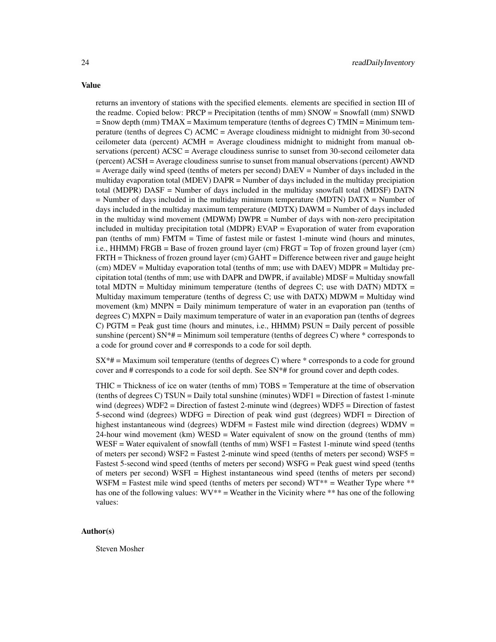#### Value

returns an inventory of stations with the specified elements. elements are specified in section III of the readme. Copied below: PRCP = Precipitation (tenths of mm) SNOW = Snowfall (mm) SNWD  $=$  Snow depth (mm) TMAX  $=$  Maximum temperature (tenths of degrees C) TMIN  $=$  Minimum temperature (tenths of degrees C)  $ACMC = Average$  cloudiness midnight to midnight from 30-second ceilometer data (percent) ACMH = Average cloudiness midnight to midnight from manual observations (percent) ACSC = Average cloudiness sunrise to sunset from 30-second ceilometer data (percent) ACSH = Average cloudiness sunrise to sunset from manual observations (percent) AWND = Average daily wind speed (tenths of meters per second) DAEV = Number of days included in the multiday evaporation total (MDEV) DAPR = Number of days included in the multiday precipiation total (MDPR) DASF = Number of days included in the multiday snowfall total (MDSF) DATN  $=$  Number of days included in the multiday minimum temperature (MDTN) DATX  $=$  Number of days included in the multiday maximum temperature (MDTX) DAWM = Number of days included in the multiday wind movement (MDWM) DWPR = Number of days with non-zero precipitation included in multiday precipitation total (MDPR) EVAP = Evaporation of water from evaporation pan (tenths of mm) FMTM = Time of fastest mile or fastest 1-minute wind (hours and minutes, i.e., HHMM) FRGB = Base of frozen ground layer (cm) FRGT = Top of frozen ground layer (cm) FRTH = Thickness of frozen ground layer (cm) GAHT = Difference between river and gauge height (cm) MDEV = Multiday evaporation total (tenths of mm; use with DAEV) MDPR = Multiday precipitation total (tenths of mm; use with DAPR and DWPR, if available) MDSF = Multiday snowfall total MDTN = Multiday minimum temperature (tenths of degrees C; use with DATN) MDTX = Multiday maximum temperature (tenths of degress  $C$ ; use with  $DATAX$ ) MDWM = Multiday wind movement (km) MNPN = Daily minimum temperature of water in an evaporation pan (tenths of degrees C) MXPN = Daily maximum temperature of water in an evaporation pan (tenths of degrees C) PGTM = Peak gust time (hours and minutes, i.e., HHMM) PSUN = Daily percent of possible sunshine (percent)  $SN^*$  = Minimum soil temperature (tenths of degrees C) where  $*$  corresponds to a code for ground cover and # corresponds to a code for soil depth.

 $SX*# =$  Maximum soil temperature (tenths of degrees C) where  $*$  corresponds to a code for ground cover and # corresponds to a code for soil depth. See SN\*# for ground cover and depth codes.

THIC = Thickness of ice on water (tenths of mm) TOBS = Temperature at the time of observation (tenths of degrees C) TSUN = Daily total sunshine (minutes) WDF1 = Direction of fastest 1-minute wind (degrees) WDF2 = Direction of fastest 2-minute wind (degrees) WDF5 = Direction of fastest 5-second wind (degrees) WDFG = Direction of peak wind gust (degrees) WDFI = Direction of highest instantaneous wind (degrees) WDFM = Fastest mile wind direction (degrees) WDMV = 24-hour wind movement  $(km)$  WESD = Water equivalent of snow on the ground (tenths of mm)  $WEST = Water$  equivalent of snowfall (tenths of mm)  $WSF1 = Fastest 1$ -minute wind speed (tenths of meters per second) WSF2 = Fastest 2-minute wind speed (tenths of meters per second) WSF5 = Fastest 5-second wind speed (tenths of meters per second) WSFG = Peak guest wind speed (tenths of meters per second) WSFI = Highest instantaneous wind speed (tenths of meters per second) WSFM = Fastest mile wind speed (tenths of meters per second)  $WT** =$  Weather Type where \*\* has one of the following values:  $WV^{**} =$  Weather in the Vicinity where  $**$  has one of the following values:

#### Author(s)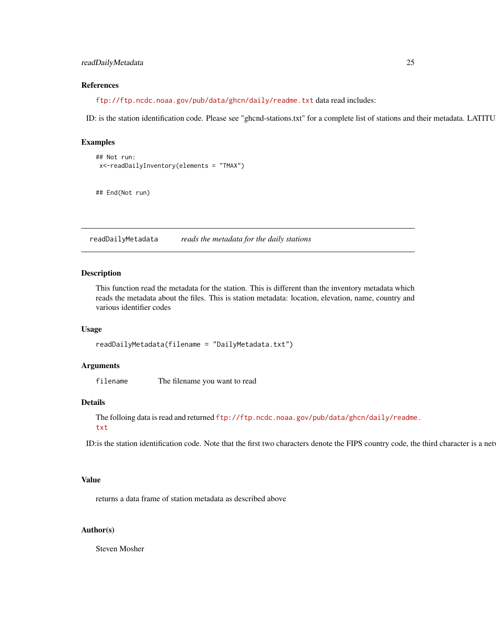# <span id="page-24-0"></span>readDailyMetadata 25

#### References

<ftp://ftp.ncdc.noaa.gov/pub/data/ghcn/daily/readme.txt> data read includes:

ID: is the station identification code. Please see "ghcnd-stations.txt" for a complete list of stations and their metadata. LATITU

# Examples

```
## Not run:
x<-readDailyInventory(elements = "TMAX")
```

```
## End(Not run)
```
readDailyMetadata *reads the metadata for the daily stations*

#### Description

This function read the metadata for the station. This is different than the inventory metadata which reads the metadata about the files. This is station metadata: location, elevation, name, country and various identifier codes

#### Usage

```
readDailyMetadata(filename = "DailyMetadata.txt")
```
# Arguments

filename The filename you want to read

#### Details

The folloing data is read and returned [ftp://ftp.ncdc.noaa.gov/pub/data/ghcn/daily/readme](ftp://ftp.ncdc.noaa.gov/pub/data/ghcn/daily/readme.txt).

[txt](ftp://ftp.ncdc.noaa.gov/pub/data/ghcn/daily/readme.txt)

ID: is the station identification code. Note that the first two characters denote the FIPS country code, the third character is a net

# Value

returns a data frame of station metadata as described above

#### Author(s)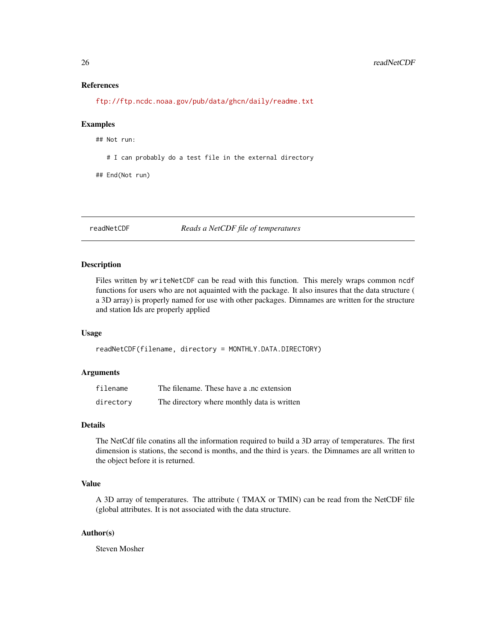# References

```
ftp://ftp.ncdc.noaa.gov/pub/data/ghcn/daily/readme.txt
```
# Examples

## Not run:

# I can probably do a test file in the external directory

## End(Not run)

readNetCDF *Reads a NetCDF file of temperatures*

#### Description

Files written by writeNetCDF can be read with this function. This merely wraps common ncdf functions for users who are not aquainted with the package. It also insures that the data structure ( a 3D array) is properly named for use with other packages. Dimnames are written for the structure and station Ids are properly applied

#### Usage

readNetCDF(filename, directory = MONTHLY.DATA.DIRECTORY)

#### Arguments

| filename  | The filename. These have a .nc extension    |
|-----------|---------------------------------------------|
| directory | The directory where monthly data is written |

#### Details

The NetCdf file conatins all the information required to build a 3D array of temperatures. The first dimension is stations, the second is months, and the third is years. the Dimnames are all written to the object before it is returned.

#### Value

A 3D array of temperatures. The attribute ( TMAX or TMIN) can be read from the NetCDF file (global attributes. It is not associated with the data structure.

#### Author(s)

<span id="page-25-0"></span>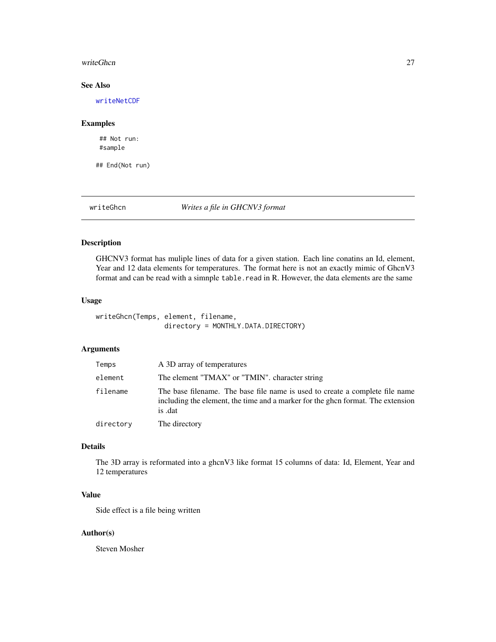#### <span id="page-26-0"></span>writeGhcn 27

# See Also

[writeNetCDF](#page-27-1)

#### Examples

## Not run: #sample

## End(Not run)

writeGhcn *Writes a file in GHCNV3 format*

# Description

GHCNV3 format has muliple lines of data for a given station. Each line conatins an Id, element, Year and 12 data elements for temperatures. The format here is not an exactly mimic of GhcnV3 format and can be read with a simnple table.read in R. However, the data elements are the same

#### Usage

writeGhcn(Temps, element, filename, directory = MONTHLY.DATA.DIRECTORY)

#### Arguments

| Temps     | A 3D array of temperatures                                                                                                                                                |
|-----------|---------------------------------------------------------------------------------------------------------------------------------------------------------------------------|
| element   | The element "TMAX" or "TMIN". character string                                                                                                                            |
| filename  | The base filename. The base file name is used to create a complete file name<br>including the element, the time and a marker for the ghan format. The extension<br>is dat |
| directory | The directory                                                                                                                                                             |

# Details

The 3D array is reformated into a ghcnV3 like format 15 columns of data: Id, Element, Year and 12 temperatures

# Value

Side effect is a file being written

#### Author(s)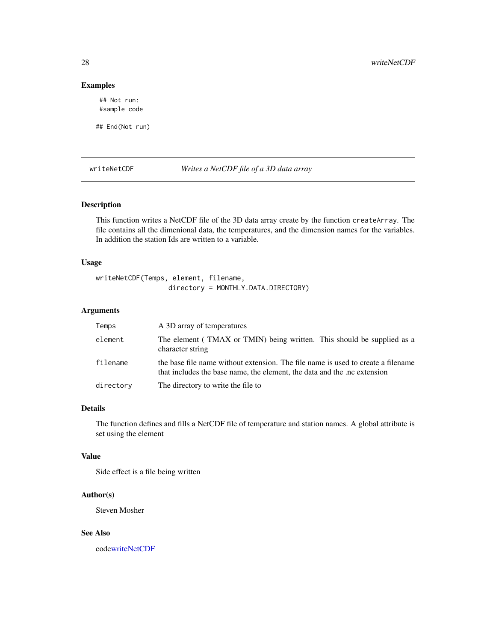# Examples

## Not run: #sample code

## End(Not run)

<span id="page-27-1"></span>writeNetCDF *Writes a NetCDF file of a 3D data array*

# Description

This function writes a NetCDF file of the 3D data array create by the function createArray. The file contains all the dimenional data, the temperatures, and the dimension names for the variables. In addition the station Ids are written to a variable.

# Usage

writeNetCDF(Temps, element, filename, directory = MONTHLY.DATA.DIRECTORY)

# Arguments

| Temps     | A 3D array of temperatures                                                                                                                                   |
|-----------|--------------------------------------------------------------------------------------------------------------------------------------------------------------|
| element   | The element (TMAX or TMIN) being written. This should be supplied as a<br>character string                                                                   |
| filename  | the base file name without extension. The file name is used to create a filename<br>that includes the base name, the element, the data and the .nc extension |
| directory | The directory to write the file to                                                                                                                           |

# Details

The function defines and fills a NetCDF file of temperature and station names. A global attribute is set using the element

# Value

Side effect is a file being written

# Author(s)

Steven Mosher

### See Also

cod[ewriteNetCDF](#page-27-1)

<span id="page-27-0"></span>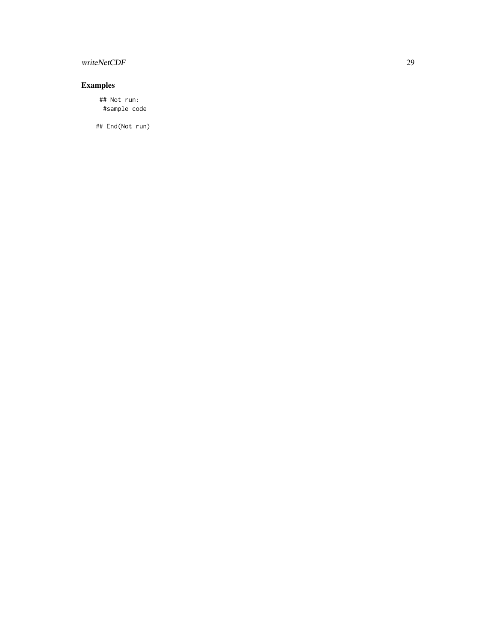# writeNetCDF 29

# Examples

## Not run: #sample code

## End(Not run)